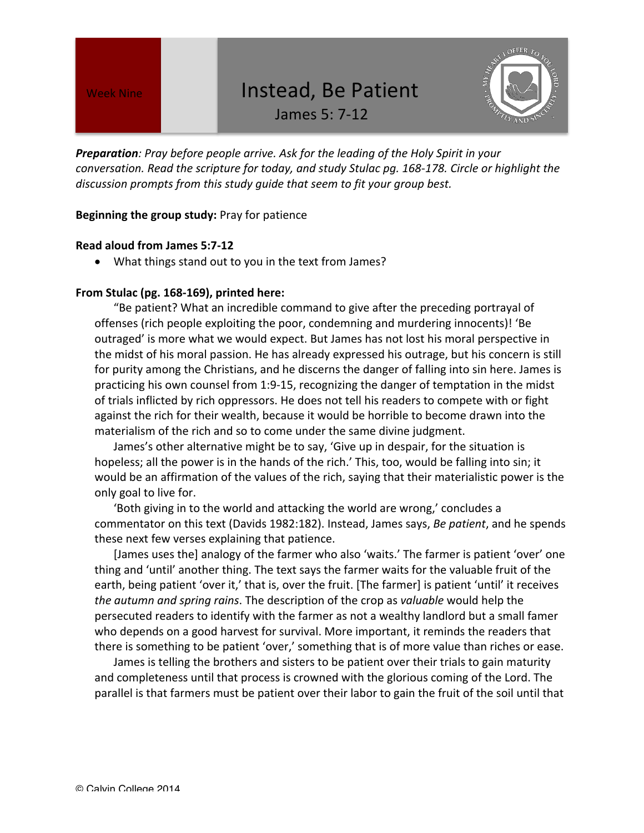# Week Nine **Ning State 1 Section** 1nstead, Be Patient

James 5: 7-12



**Preparation**: Pray before people arrive. Ask for the leading of the Holy Spirit in your *conversation.* Read the scripture for today, and study Stulac pq. 168-178. Circle or highlight the discussion prompts from this study guide that seem to fit your group best.

### **Beginning the group study:** Pray for patience

#### **Read aloud from James 5:7-12**

• What things stand out to you in the text from James?

#### From Stulac (pg. 168-169), printed here:

"Be patient? What an incredible command to give after the preceding portrayal of offenses (rich people exploiting the poor, condemning and murdering innocents)! 'Be outraged' is more what we would expect. But James has not lost his moral perspective in the midst of his moral passion. He has already expressed his outrage, but his concern is still for purity among the Christians, and he discerns the danger of falling into sin here. James is practicing his own counsel from 1:9-15, recognizing the danger of temptation in the midst of trials inflicted by rich oppressors. He does not tell his readers to compete with or fight against the rich for their wealth, because it would be horrible to become drawn into the materialism of the rich and so to come under the same divine judgment.

James's other alternative might be to say, 'Give up in despair, for the situation is hopeless; all the power is in the hands of the rich.' This, too, would be falling into sin; it would be an affirmation of the values of the rich, saying that their materialistic power is the only goal to live for.

'Both giving in to the world and attacking the world are wrong,' concludes a commentator on this text (Davids 1982:182). Instead, James says, *Be patient*, and he spends these next few verses explaining that patience.

[James uses the] analogy of the farmer who also 'waits.' The farmer is patient 'over' one thing and 'until' another thing. The text says the farmer waits for the valuable fruit of the earth, being patient 'over it,' that is, over the fruit. [The farmer] is patient 'until' it receives *the autumn and spring rains*. The description of the crop as *valuable* would help the persecuted readers to identify with the farmer as not a wealthy landlord but a small famer who depends on a good harvest for survival. More important, it reminds the readers that there is something to be patient 'over,' something that is of more value than riches or ease.

James is telling the brothers and sisters to be patient over their trials to gain maturity and completeness until that process is crowned with the glorious coming of the Lord. The parallel is that farmers must be patient over their labor to gain the fruit of the soil until that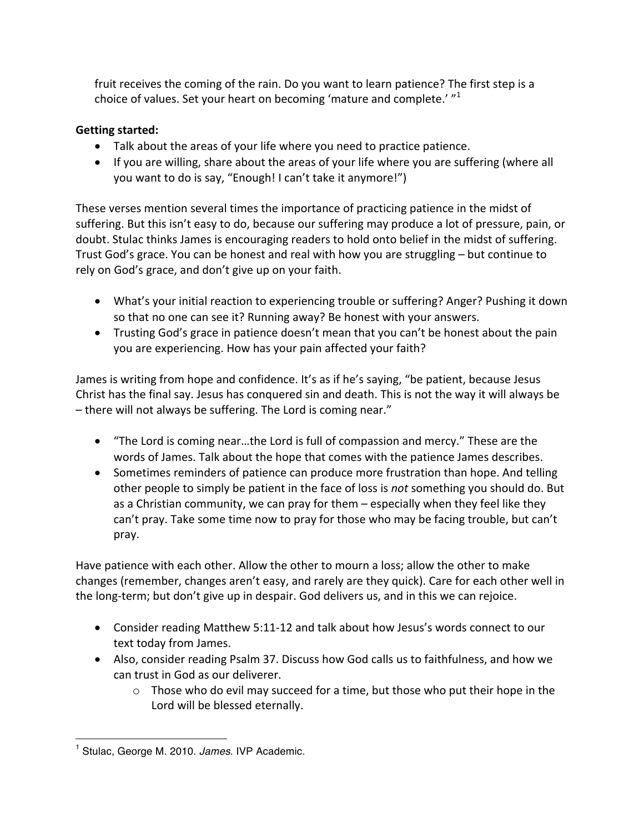fruit receives the coming of the rain. Do you want to learn patience? The first step is a choice of values. Set your heart on becoming 'mature and complete.'  $^{\prime\prime}$ <sup>1</sup>

## **Getting started:**

- Talk about the areas of your life where you need to practice patience.
- If you are willing, share about the areas of your life where you are suffering (where all you want to do is say, "Enough! I can't take it anymore!")

These verses mention several times the importance of practicing patience in the midst of suffering. But this isn't easy to do, because our suffering may produce a lot of pressure, pain, or doubt. Stulac thinks James is encouraging readers to hold onto belief in the midst of suffering. Trust God's grace. You can be honest and real with how you are struggling – but continue to rely on God's grace, and don't give up on your faith.

- What's your initial reaction to experiencing trouble or suffering? Anger? Pushing it down so that no one can see it? Running away? Be honest with your answers.
- Trusting God's grace in patience doesn't mean that you can't be honest about the pain you are experiencing. How has your pain affected your faith?

James is writing from hope and confidence. It's as if he's saying, "be patient, because Jesus Christ has the final say. Jesus has conquered sin and death. This is not the way it will always be  $-$  there will not always be suffering. The Lord is coming near."

- "The Lord is coming near...the Lord is full of compassion and mercy." These are the words of James. Talk about the hope that comes with the patience James describes.
- Sometimes reminders of patience can produce more frustration than hope. And telling other people to simply be patient in the face of loss is *not* something you should do. But as a Christian community, we can pray for them  $-$  especially when they feel like they can't pray. Take some time now to pray for those who may be facing trouble, but can't pray.

Have patience with each other. Allow the other to mourn a loss; allow the other to make changes (remember, changes aren't easy, and rarely are they quick). Care for each other well in the long-term; but don't give up in despair. God delivers us, and in this we can rejoice.

- Consider reading Matthew 5:11-12 and talk about how Jesus's words connect to our text today from James.
- Also, consider reading Psalm 37. Discuss how God calls us to faithfulness, and how we can trust in God as our deliverer.
	- $\circ$  Those who do evil may succeed for a time, but those who put their hope in the Lord will be blessed eternally.

 <sup>1</sup> Stulac, George M. 2010. *James*. IVP Academic.